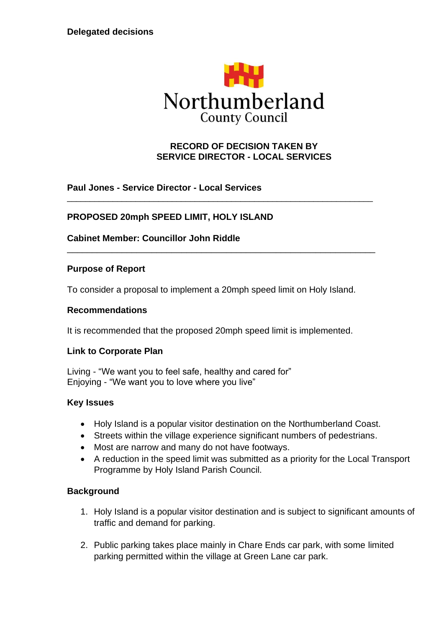

### **RECORD OF DECISION TAKEN BY SERVICE DIRECTOR - LOCAL SERVICES**

**Paul Jones - Service Director - Local Services**

#### **PROPOSED 20mph SPEED LIMIT, HOLY ISLAND**

**Cabinet Member: Councillor John Riddle**

#### **Purpose of Report**

To consider a proposal to implement a 20mph speed limit on Holy Island.

\_\_\_\_\_\_\_\_\_\_\_\_\_\_\_\_\_\_\_\_\_\_\_\_\_\_\_\_\_\_\_\_\_\_\_\_\_\_\_\_\_\_\_\_\_\_\_\_\_\_\_\_\_\_\_\_\_\_\_\_\_\_\_\_\_\_\_

\_\_\_\_\_\_\_\_\_\_\_\_\_\_\_\_\_\_\_\_\_\_\_\_\_\_\_\_\_\_\_\_\_\_\_\_\_\_\_\_\_\_\_\_\_\_\_\_\_\_\_\_\_\_\_\_\_\_\_\_\_\_

#### **Recommendations**

It is recommended that the proposed 20mph speed limit is implemented.

#### **Link to Corporate Plan**

Living - "We want you to feel safe, healthy and cared for" Enjoying - "We want you to love where you live"

#### **Key Issues**

- Holy Island is a popular visitor destination on the Northumberland Coast.
- Streets within the village experience significant numbers of pedestrians.
- Most are narrow and many do not have footways.
- A reduction in the speed limit was submitted as a priority for the Local Transport Programme by Holy Island Parish Council.

#### **Background**

- 1. Holy Island is a popular visitor destination and is subject to significant amounts of traffic and demand for parking.
- 2. Public parking takes place mainly in Chare Ends car park, with some limited parking permitted within the village at Green Lane car park.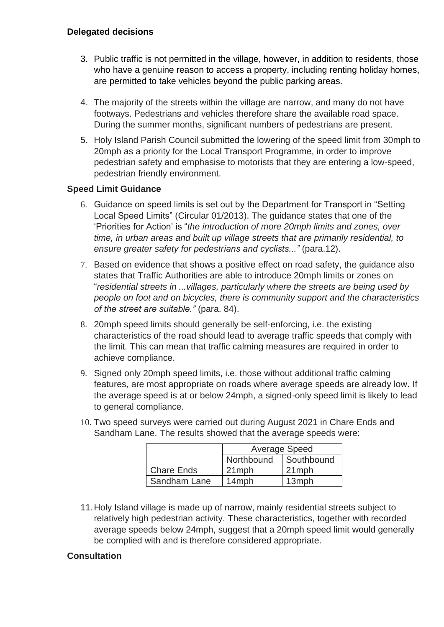- 3. Public traffic is not permitted in the village, however, in addition to residents, those who have a genuine reason to access a property, including renting holiday homes, are permitted to take vehicles beyond the public parking areas.
- 4. The majority of the streets within the village are narrow, and many do not have footways. Pedestrians and vehicles therefore share the available road space. During the summer months, significant numbers of pedestrians are present.
- 5. Holy Island Parish Council submitted the lowering of the speed limit from 30mph to 20mph as a priority for the Local Transport Programme, in order to improve pedestrian safety and emphasise to motorists that they are entering a low-speed, pedestrian friendly environment.

### **Speed Limit Guidance**

- 6. Guidance on speed limits is set out by the Department for Transport in "Setting Local Speed Limits" (Circular 01/2013). The guidance states that one of the 'Priorities for Action' is "*the introduction of more 20mph limits and zones, over time, in urban areas and built up village streets that are primarily residential, to ensure greater safety for pedestrians and cyclists..."* (para.12).
- 7. Based on evidence that shows a positive effect on road safety, the guidance also states that Traffic Authorities are able to introduce 20mph limits or zones on "*residential streets in ...villages, particularly where the streets are being used by people on foot and on bicycles, there is community support and the characteristics of the street are suitable."* (para. 84).
- 8. 20mph speed limits should generally be self-enforcing, i.e. the existing characteristics of the road should lead to average traffic speeds that comply with the limit. This can mean that traffic calming measures are required in order to achieve compliance.
- 9. Signed only 20mph speed limits, i.e. those without additional traffic calming features, are most appropriate on roads where average speeds are already low. If the average speed is at or below 24mph, a signed-only speed limit is likely to lead to general compliance.

|                   | <b>Average Speed</b> |            |
|-------------------|----------------------|------------|
|                   | Northbound           | Southbound |
| <b>Chare Ends</b> | $21$ mph             | $21$ mph   |
| Sandham Lane      | 14mph                | 13mph      |

- 10. Two speed surveys were carried out during August 2021 in Chare Ends and Sandham Lane. The results showed that the average speeds were:
- 11.Holy Island village is made up of narrow, mainly residential streets subject to relatively high pedestrian activity. These characteristics, together with recorded average speeds below 24mph, suggest that a 20mph speed limit would generally be complied with and is therefore considered appropriate.

### **Consultation**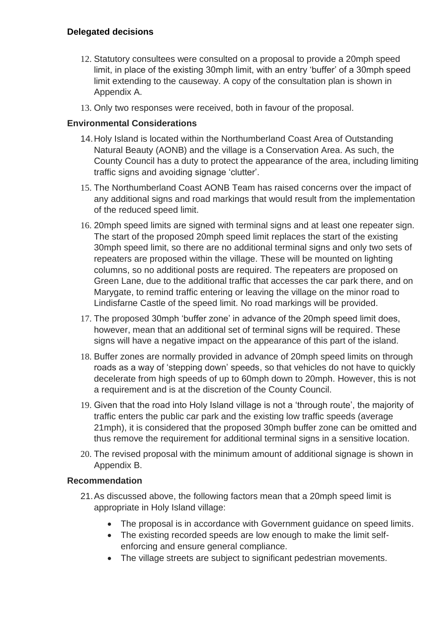- 12. Statutory consultees were consulted on a proposal to provide a 20mph speed limit, in place of the existing 30mph limit, with an entry 'buffer' of a 30mph speed limit extending to the causeway. A copy of the consultation plan is shown in Appendix A.
- 13. Only two responses were received, both in favour of the proposal.

### **Environmental Considerations**

- 14.Holy Island is located within the Northumberland Coast Area of Outstanding Natural Beauty (AONB) and the village is a Conservation Area. As such, the County Council has a duty to protect the appearance of the area, including limiting traffic signs and avoiding signage 'clutter'.
- 15. The Northumberland Coast AONB Team has raised concerns over the impact of any additional signs and road markings that would result from the implementation of the reduced speed limit.
- 16. 20mph speed limits are signed with terminal signs and at least one repeater sign. The start of the proposed 20mph speed limit replaces the start of the existing 30mph speed limit, so there are no additional terminal signs and only two sets of repeaters are proposed within the village. These will be mounted on lighting columns, so no additional posts are required. The repeaters are proposed on Green Lane, due to the additional traffic that accesses the car park there, and on Marygate, to remind traffic entering or leaving the village on the minor road to Lindisfarne Castle of the speed limit. No road markings will be provided.
- 17. The proposed 30mph 'buffer zone' in advance of the 20mph speed limit does, however, mean that an additional set of terminal signs will be required. These signs will have a negative impact on the appearance of this part of the island.
- 18. Buffer zones are normally provided in advance of 20mph speed limits on through roads as a way of 'stepping down' speeds, so that vehicles do not have to quickly decelerate from high speeds of up to 60mph down to 20mph. However, this is not a requirement and is at the discretion of the County Council.
- 19. Given that the road into Holy Island village is not a 'through route', the majority of traffic enters the public car park and the existing low traffic speeds (average 21mph), it is considered that the proposed 30mph buffer zone can be omitted and thus remove the requirement for additional terminal signs in a sensitive location.
- 20. The revised proposal with the minimum amount of additional signage is shown in Appendix B.

### **Recommendation**

- 21.As discussed above, the following factors mean that a 20mph speed limit is appropriate in Holy Island village:
	- The proposal is in accordance with Government guidance on speed limits.
	- The existing recorded speeds are low enough to make the limit selfenforcing and ensure general compliance.
	- The village streets are subject to significant pedestrian movements.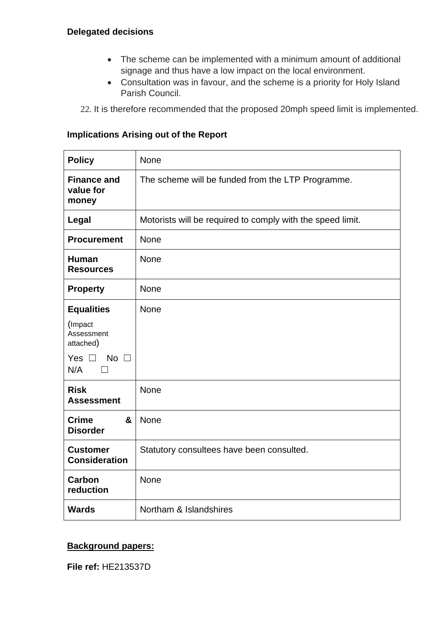- The scheme can be implemented with a minimum amount of additional signage and thus have a low impact on the local environment.
- Consultation was in favour, and the scheme is a priority for Holy Island Parish Council.
- 22. It is therefore recommended that the proposed 20mph speed limit is implemented.

### **Implications Arising out of the Report**

| <b>Policy</b>                            | None                                                       |  |  |
|------------------------------------------|------------------------------------------------------------|--|--|
| <b>Finance and</b><br>value for<br>money | The scheme will be funded from the LTP Programme.          |  |  |
| Legal                                    | Motorists will be required to comply with the speed limit. |  |  |
| <b>Procurement</b>                       | <b>None</b>                                                |  |  |
| <b>Human</b><br><b>Resources</b>         | None                                                       |  |  |
| <b>Property</b>                          | <b>None</b>                                                |  |  |
| <b>Equalities</b>                        | <b>None</b>                                                |  |  |
| (Impact<br>Assessment<br>attached)       |                                                            |  |  |
| Yes $\Box$<br>No $\square$<br>N/A        |                                                            |  |  |
| <b>Risk</b><br><b>Assessment</b>         | <b>None</b>                                                |  |  |
| <b>Crime</b><br>&<br><b>Disorder</b>     | None                                                       |  |  |
| <b>Customer</b><br><b>Consideration</b>  | Statutory consultees have been consulted.                  |  |  |
| Carbon<br>reduction                      | None                                                       |  |  |
| <b>Wards</b>                             | Northam & Islandshires                                     |  |  |

### **Background papers:**

**File ref:** HE213537D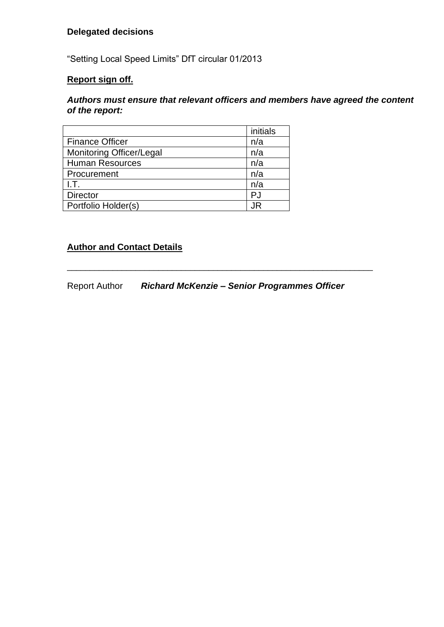"Setting Local Speed Limits" DfT circular 01/2013

## **Report sign off.**

#### *Authors must ensure that relevant officers and members have agreed the content of the report:*

|                                 | initials |
|---------------------------------|----------|
| <b>Finance Officer</b>          | n/a      |
| <b>Monitoring Officer/Legal</b> | n/a      |
| <b>Human Resources</b>          | n/a      |
| Procurement                     | n/a      |
| LT.                             | n/a      |
| <b>Director</b>                 | PJ       |
| Portfolio Holder(s)             | .IR      |

## **Author and Contact Details**

Report Author *Richard McKenzie – Senior Programmes Officer*

\_\_\_\_\_\_\_\_\_\_\_\_\_\_\_\_\_\_\_\_\_\_\_\_\_\_\_\_\_\_\_\_\_\_\_\_\_\_\_\_\_\_\_\_\_\_\_\_\_\_\_\_\_\_\_\_\_\_\_\_\_\_\_\_\_\_\_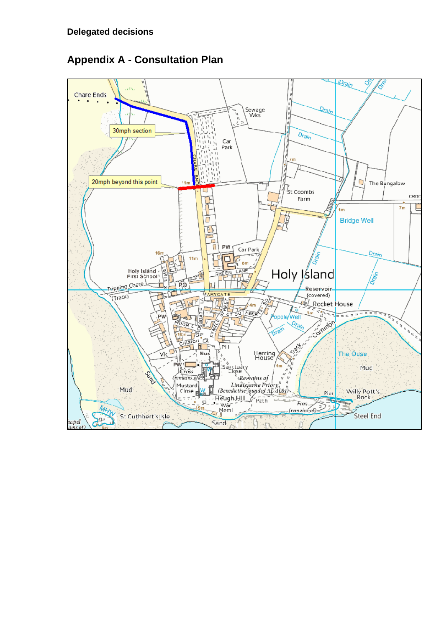

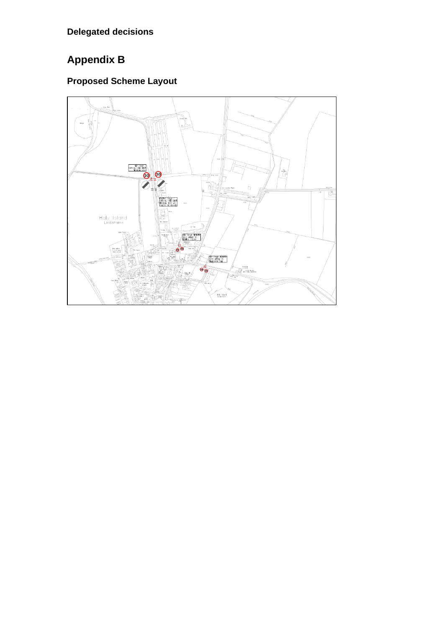# **Appendix B**

# **Proposed Scheme Layout**